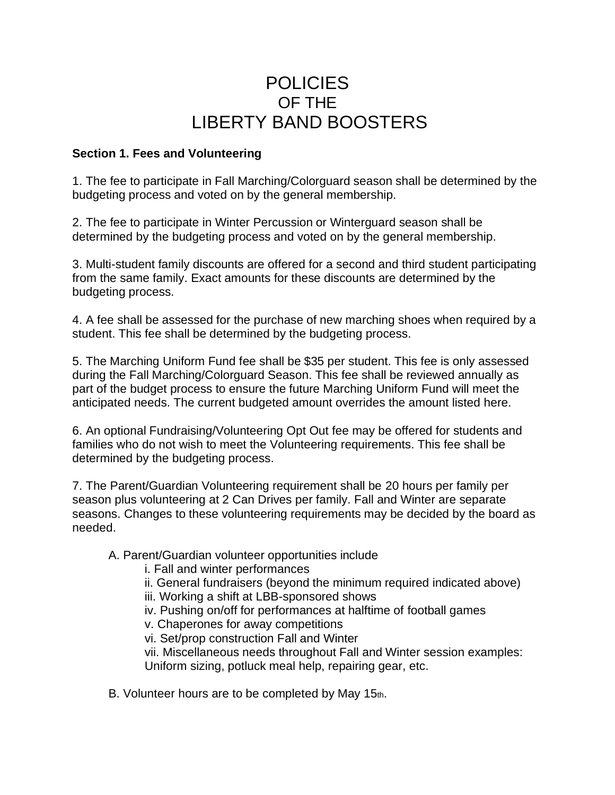# POLICIES OF THE LIBERTY BAND BOOSTERS

### **Section 1. Fees and Volunteering**

1. The fee to participate in Fall Marching/Colorguard season shall be determined by the budgeting process and voted on by the general membership.

2. The fee to participate in Winter Percussion or Winterguard season shall be determined by the budgeting process and voted on by the general membership.

3. Multi-student family discounts are offered for a second and third student participating from the same family. Exact amounts for these discounts are determined by the budgeting process.

4. A fee shall be assessed for the purchase of new marching shoes when required by a student. This fee shall be determined by the budgeting process.

5. The Marching Uniform Fund fee shall be \$35 per student. This fee is only assessed during the Fall Marching/Colorguard Season. This fee shall be reviewed annually as part of the budget process to ensure the future Marching Uniform Fund will meet the anticipated needs. The current budgeted amount overrides the amount listed here.

6. An optional Fundraising/Volunteering Opt Out fee may be offered for students and families who do not wish to meet the Volunteering requirements. This fee shall be determined by the budgeting process.

7. The Parent/Guardian Volunteering requirement shall be 20 hours per family per season plus volunteering at 2 Can Drives per family. Fall and Winter are separate seasons. Changes to these volunteering requirements may be decided by the board as needed.

#### A. Parent/Guardian volunteer opportunities include

- i. Fall and winter performances
- ii. General fundraisers (beyond the minimum required indicated above)
- iii. Working a shift at LBB-sponsored shows
- iv. Pushing on/off for performances at halftime of football games
- v. Chaperones for away competitions

vi. Set/prop construction Fall and Winter

vii. Miscellaneous needs throughout Fall and Winter session examples: Uniform sizing, potluck meal help, repairing gear, etc.

B. Volunteer hours are to be completed by May 15th.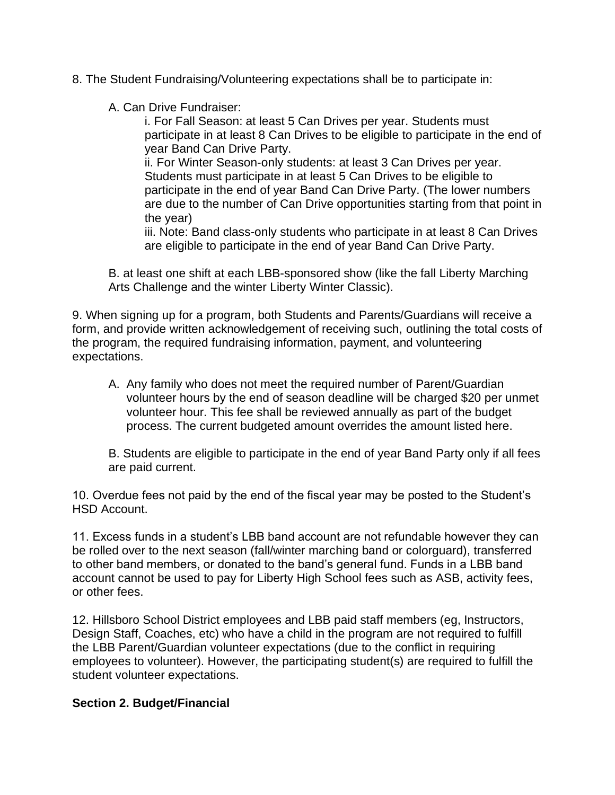- 8. The Student Fundraising/Volunteering expectations shall be to participate in:
	- A. Can Drive Fundraiser:

i. For Fall Season: at least 5 Can Drives per year. Students must participate in at least 8 Can Drives to be eligible to participate in the end of year Band Can Drive Party.

ii. For Winter Season-only students: at least 3 Can Drives per year. Students must participate in at least 5 Can Drives to be eligible to participate in the end of year Band Can Drive Party. (The lower numbers are due to the number of Can Drive opportunities starting from that point in the year)

iii. Note: Band class-only students who participate in at least 8 Can Drives are eligible to participate in the end of year Band Can Drive Party.

B. at least one shift at each LBB-sponsored show (like the fall Liberty Marching Arts Challenge and the winter Liberty Winter Classic).

9. When signing up for a program, both Students and Parents/Guardians will receive a form, and provide written acknowledgement of receiving such, outlining the total costs of the program, the required fundraising information, payment, and volunteering expectations.

A. Any family who does not meet the required number of Parent/Guardian volunteer hours by the end of season deadline will be charged \$20 per unmet volunteer hour. This fee shall be reviewed annually as part of the budget process. The current budgeted amount overrides the amount listed here.

B. Students are eligible to participate in the end of year Band Party only if all fees are paid current.

10. Overdue fees not paid by the end of the fiscal year may be posted to the Student's HSD Account.

11. Excess funds in a student's LBB band account are not refundable however they can be rolled over to the next season (fall/winter marching band or colorguard), transferred to other band members, or donated to the band's general fund. Funds in a LBB band account cannot be used to pay for Liberty High School fees such as ASB, activity fees, or other fees.

12. Hillsboro School District employees and LBB paid staff members (eg, Instructors, Design Staff, Coaches, etc) who have a child in the program are not required to fulfill the LBB Parent/Guardian volunteer expectations (due to the conflict in requiring employees to volunteer). However, the participating student(s) are required to fulfill the student volunteer expectations.

## **Section 2. Budget/Financial**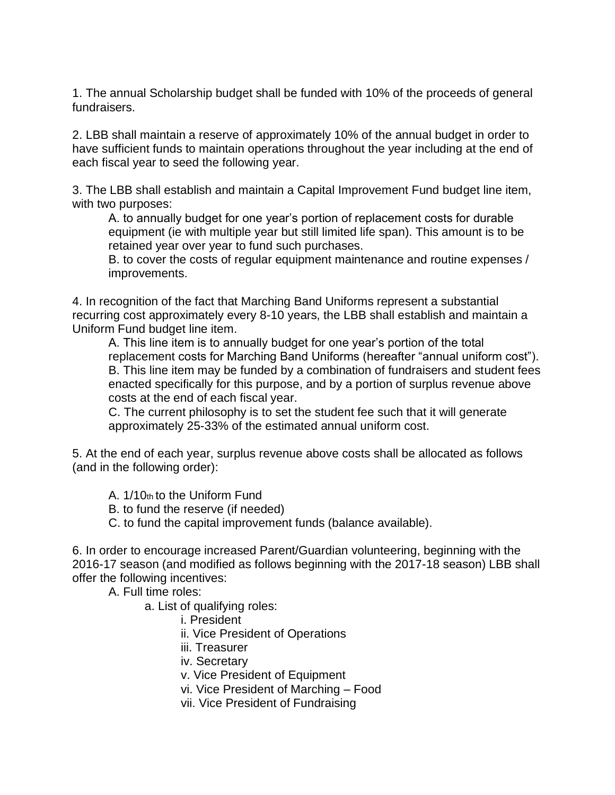1. The annual Scholarship budget shall be funded with 10% of the proceeds of general fundraisers.

2. LBB shall maintain a reserve of approximately 10% of the annual budget in order to have sufficient funds to maintain operations throughout the year including at the end of each fiscal year to seed the following year.

3. The LBB shall establish and maintain a Capital Improvement Fund budget line item, with two purposes:

A. to annually budget for one year's portion of replacement costs for durable equipment (ie with multiple year but still limited life span). This amount is to be retained year over year to fund such purchases.

B. to cover the costs of regular equipment maintenance and routine expenses / improvements.

4. In recognition of the fact that Marching Band Uniforms represent a substantial recurring cost approximately every 8-10 years, the LBB shall establish and maintain a Uniform Fund budget line item.

A. This line item is to annually budget for one year's portion of the total replacement costs for Marching Band Uniforms (hereafter "annual uniform cost"). B. This line item may be funded by a combination of fundraisers and student fees enacted specifically for this purpose, and by a portion of surplus revenue above costs at the end of each fiscal year.

C. The current philosophy is to set the student fee such that it will generate approximately 25-33% of the estimated annual uniform cost.

5. At the end of each year, surplus revenue above costs shall be allocated as follows (and in the following order):

A. 1/10th to the Uniform Fund

B. to fund the reserve (if needed)

C. to fund the capital improvement funds (balance available).

6. In order to encourage increased Parent/Guardian volunteering, beginning with the 2016-17 season (and modified as follows beginning with the 2017-18 season) LBB shall offer the following incentives:

A. Full time roles:

a. List of qualifying roles:

i. President

ii. Vice President of Operations

- iii. Treasurer
- iv. Secretary
- v. Vice President of Equipment
- vi. Vice President of Marching Food
- vii. Vice President of Fundraising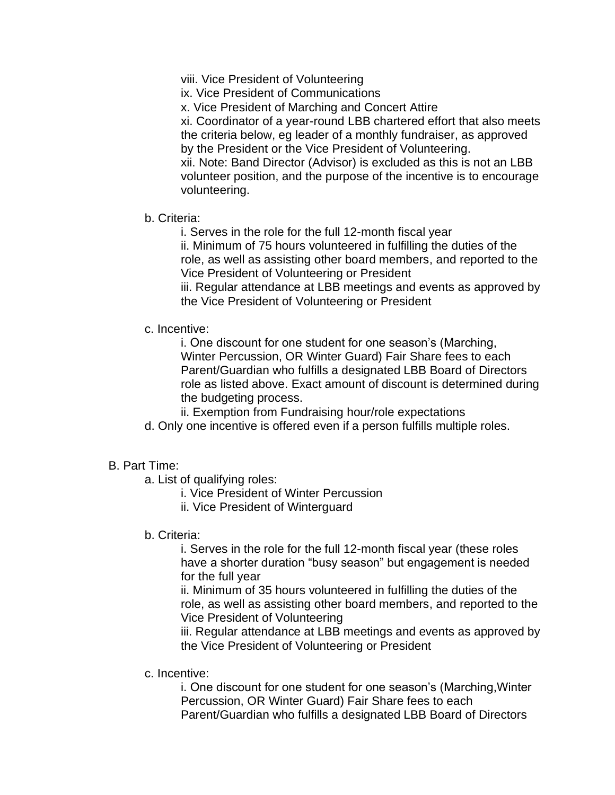viii. Vice President of Volunteering

ix. Vice President of Communications

x. Vice President of Marching and Concert Attire

xi. Coordinator of a year-round LBB chartered effort that also meets the criteria below, eg leader of a monthly fundraiser, as approved by the President or the Vice President of Volunteering. xii. Note: Band Director (Advisor) is excluded as this is not an LBB volunteer position, and the purpose of the incentive is to encourage volunteering.

b. Criteria:

i. Serves in the role for the full 12-month fiscal year

ii. Minimum of 75 hours volunteered in fulfilling the duties of the role, as well as assisting other board members, and reported to the Vice President of Volunteering or President

iii. Regular attendance at LBB meetings and events as approved by the Vice President of Volunteering or President

c. Incentive:

i. One discount for one student for one season's (Marching, Winter Percussion, OR Winter Guard) Fair Share fees to each Parent/Guardian who fulfills a designated LBB Board of Directors role as listed above. Exact amount of discount is determined during the budgeting process.

ii. Exemption from Fundraising hour/role expectations

d. Only one incentive is offered even if a person fulfills multiple roles.

#### B. Part Time:

- a. List of qualifying roles:
	- i. Vice President of Winter Percussion
	- ii. Vice President of Winterguard
- b. Criteria:

i. Serves in the role for the full 12-month fiscal year (these roles have a shorter duration "busy season" but engagement is needed for the full year

ii. Minimum of 35 hours volunteered in fulfilling the duties of the role, as well as assisting other board members, and reported to the Vice President of Volunteering

iii. Regular attendance at LBB meetings and events as approved by the Vice President of Volunteering or President

c. Incentive:

i. One discount for one student for one season's (Marching,Winter Percussion, OR Winter Guard) Fair Share fees to each Parent/Guardian who fulfills a designated LBB Board of Directors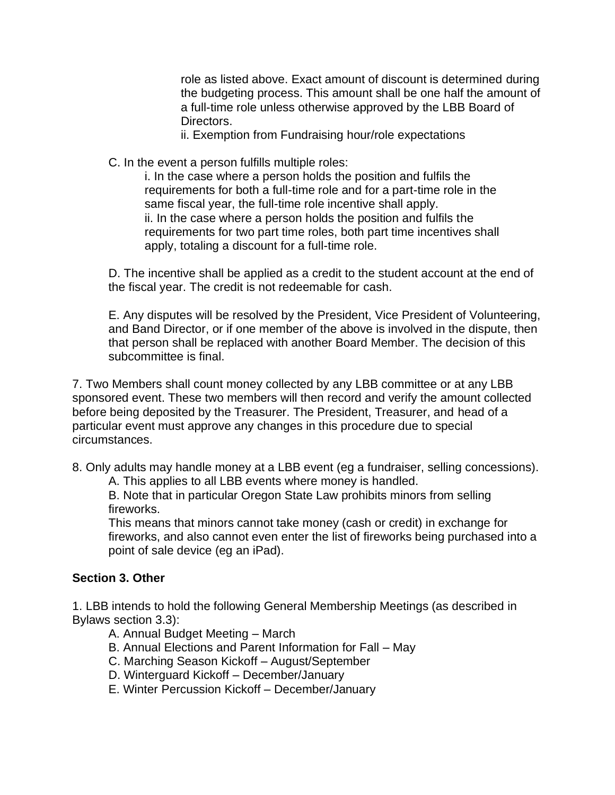role as listed above. Exact amount of discount is determined during the budgeting process. This amount shall be one half the amount of a full-time role unless otherwise approved by the LBB Board of Directors.

ii. Exemption from Fundraising hour/role expectations

C. In the event a person fulfills multiple roles:

i. In the case where a person holds the position and fulfils the requirements for both a full-time role and for a part-time role in the same fiscal year, the full-time role incentive shall apply. ii. In the case where a person holds the position and fulfils the requirements for two part time roles, both part time incentives shall apply, totaling a discount for a full-time role.

D. The incentive shall be applied as a credit to the student account at the end of the fiscal year. The credit is not redeemable for cash.

E. Any disputes will be resolved by the President, Vice President of Volunteering, and Band Director, or if one member of the above is involved in the dispute, then that person shall be replaced with another Board Member. The decision of this subcommittee is final.

7. Two Members shall count money collected by any LBB committee or at any LBB sponsored event. These two members will then record and verify the amount collected before being deposited by the Treasurer. The President, Treasurer, and head of a particular event must approve any changes in this procedure due to special circumstances.

8. Only adults may handle money at a LBB event (eg a fundraiser, selling concessions).

A. This applies to all LBB events where money is handled.

B. Note that in particular Oregon State Law prohibits minors from selling fireworks.

This means that minors cannot take money (cash or credit) in exchange for fireworks, and also cannot even enter the list of fireworks being purchased into a point of sale device (eg an iPad).

## **Section 3. Other**

1. LBB intends to hold the following General Membership Meetings (as described in Bylaws section 3.3):

A. Annual Budget Meeting – March

B. Annual Elections and Parent Information for Fall – May

- C. Marching Season Kickoff August/September
- D. Winterguard Kickoff December/January
- E. Winter Percussion Kickoff December/January